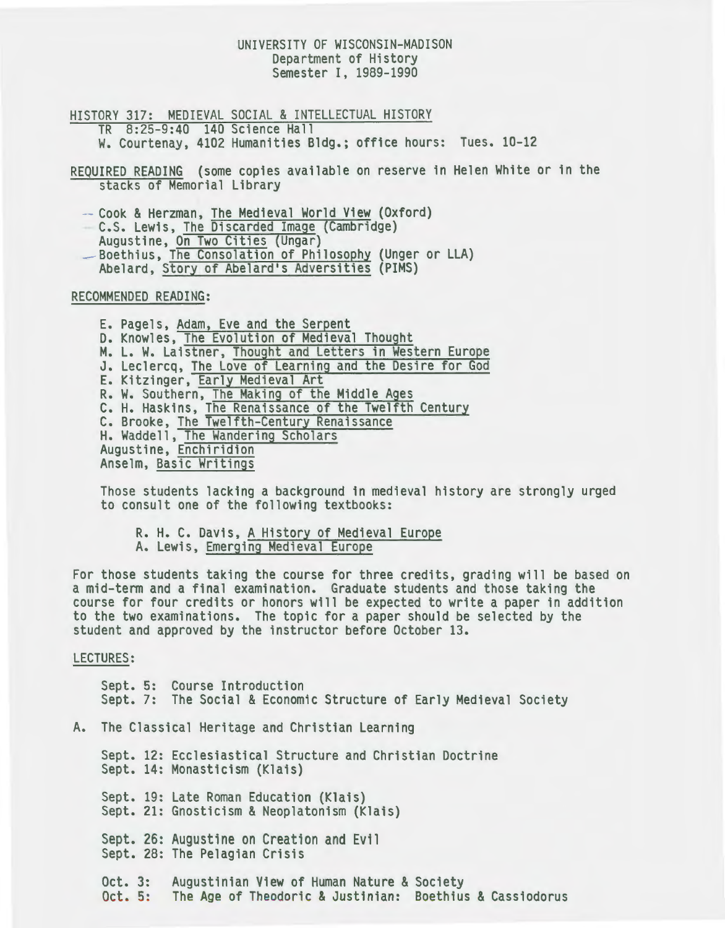# UNIVERSITY OF WISCONSIN-MADISON Department of History Semester I, 1989-1990

HISTORY 317: MEDIEVAL SOCIAL & INTELLECTUAL HISTORY TR 8:25-9:40 140 Science Hall w. Courtenay, 4102 Humanities Bldg.; office hours: Tues. 10-12

REQUIRED READING (some copies available on reserve in Helen White or in the stacks of Memorial Library

-- Cook & Herzman, <u>The Medieval World View</u> (Oxford)<br>-- C.S. Lewis, <u>The Discarded Image</u> (Cambridge)<br>Augustine, <u>On Two Cities</u> (Ungar)<br>-- Boethius, The Consolation of Philosophy (Unger or LLA)

Abelard, Story of Abelard's Adversities (PIMS)

RECOMMENDED READING:

E. Pagels, <u>Adam, Eve and the Serpent</u><br>D. Knowles, <u>The Evolution of Medieval Thought</u><br>M. L. W. Laistner, <u>Thought and Letters in Western Europe</u><br>J. Leclercq, The Love of Learning and the Desire for God E. Kitzinger, **Early Medieval Art**<br>R. W. Southern, The Making of the Middle Ages C. H. Haskins, The Renaissance of the Twelfth Century<br>C. Brooke, The Twelfth-Century Renaissance H. Waddell, The Wandering Scholars Augustine, Enchiridion Anselm, Basic Writings

Those students lacking a background in medieval history are strongly urged to consult one of the following textbooks:

R. H. C. Davis, A History of Medieval Europe A. Lewis, Emerging Medieval Europe

For those students taking the course for three credits, grading will be based on a mid-term and a final examination. Graduate students and those taking the course for four credits or honors will be expected to write a paper in addition to the two examinations. The topic for a paper should be selected by the student and approved by the instructor before October 13.

LECTURES:

Sept. 5: Course Introduction Sept. 7: The Social & Economic Structure of Early Medieval Society A. The Classical Heritage and Christian Learning Sept. 12: Ecclesiastical Structure and Christian Doctrine Sept. 14: Monasticism (Klais) Sept. 19: Late Roman Education (Klais) Sept. 21: Gnosticism & Neoplatonism (Klais) Sept. 26: Augustine on Creation and Evil

Sept. 28: The Pelagian Crisis

Oct. 3: Augustinian View of Human Nature & Society<br>Oct. 5: The Age of Theodoric & Justinian: Boethius & Cassiodorus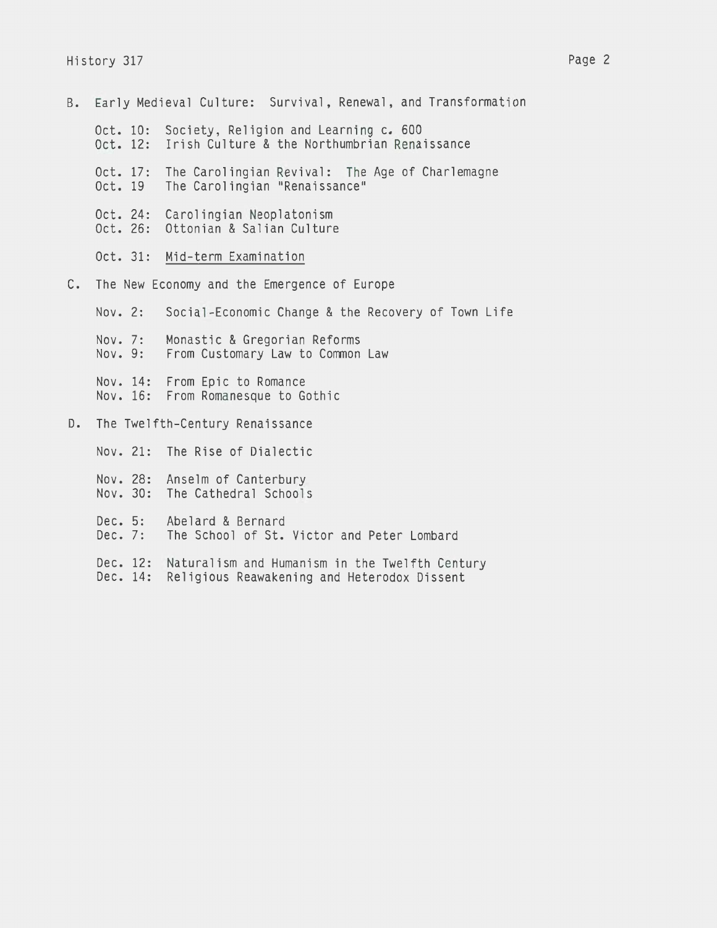- B. Early Medieval Culture: Survival, Renewal, and Transformation Oct. 10: Oct. 12: Irish Culture & the Northumbrian Renaissance Oct. 17: The Carolingian Revival: The Age of Charlemagne Oct. 19 Oct. 24: Carolingian Neoplatonism Oct. 26: Ottonian & Salian Culture Society, Religion and Learning c. 600 The Carolingian "Renaissance"
	- Oct. 31: Mid-term Examination
- c. The New Economy and the Emergence of Europe

Nov. 2: Nov. 7: Nov. 9: Nov. 14: From Epic to Romance Nov. 16: From Romanesque to Gothic Social-Economic Change & the Recovery of Town Life Monastic & Gregorian Reforms From Customary Law to Common Law D. The Twelfth-Century Renaissance Nov. 21: The Rise of Dialectic

Nov. 28: Anselm of Canterbury Nov. 30: The Cathedral Schools Dec. 5: Abelard & Bernard<br>Dec. 7: The School of St. The School of St. Victor and Peter Lombard Dec. 12: Naturalism and Humanism in the Twelfth Century Dec. 14: Religious Reawakening and Heterodox Dissent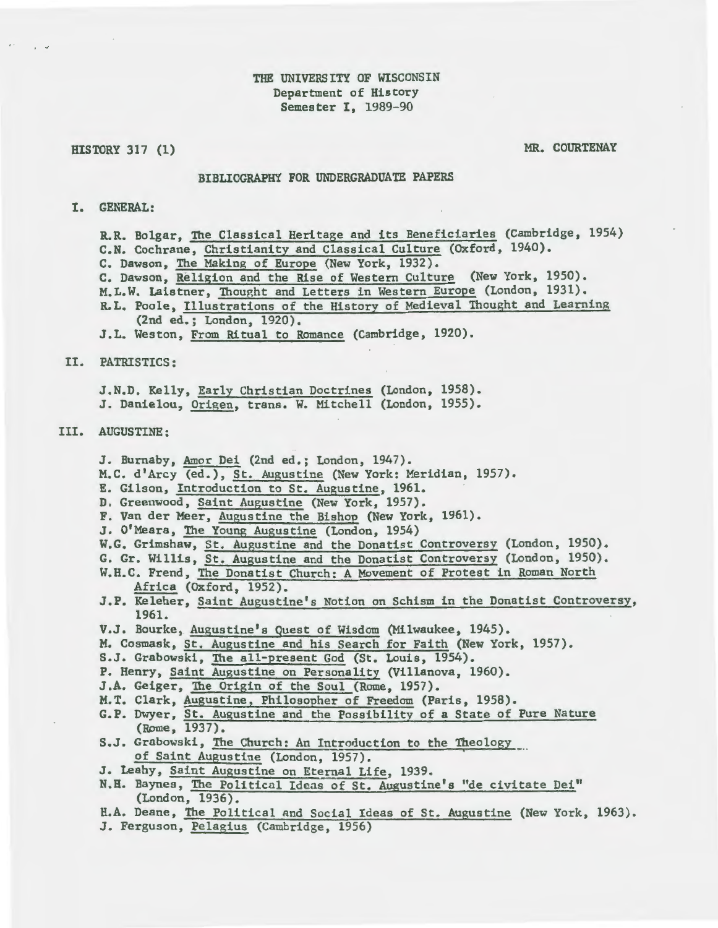# THE UNIVERSITY OF WISCONSIN Department of History Semester I, 1989-90

#### HISTORY 317 (1)

. -

MR. COURTENAY

#### BIBUOGRAPHY FOR UNDERGRADUATE PAPERS

## I. GENERAL:

R.R. Bolgar, The Classical Heritage and its Beneficiaries (Cambridge, 1954) C.N. Cochrane, Christianity and Classical Culture (Oxford, 1940). C. Dawson, The Making of Europe (New York, 1932). c. Dawson, Religion and the Rise of Western Culture (New York, 1950). M.L.W. Laistner, Thought and Letters in Western Europe (London, 1931). R.L. Poole, Illustrations of the History of Medieval Thought and Learning (2nd ed.; London, 1920). J.L. Weston, From Ritual to Romance (Cambridge, 1920).

#### II. PATRISTICS:

J.N.D. Kelly, Early Christian Doctrines (London, 1958). J. Danielou, Origen, trans. W. Mitchell (London, 1955).

## III. AUGUSTINE:

J. Burnaby, Amor Dei (2nd ed.; London, 1947).

M.C. d'Arcy (ed.), St. Augustine (New York: Meridian, 1957).

- E. Gilson, Introduction to St. Augustine, 1961.
- D. Greenwood, Saint Augustine (New York, 1957).
- F. Van der Meer, Augustine the Bishop (New York, 1961).
- J. O'Meara, The Young Augustine (London, 1954)

W.G. Grimshaw, St. Augustine and the Donatist Controversy (London, 1950).

G. Gr. Willis, St. Augustine and the Donatist Controversy (London, 1950).

- W.H.C. Frend, The Donatist Church: A Movement of Protest in Roman North Africa (Oxford, 1952).
- J.P. Keleher, Saint Augustine's Notion on Schism in the Donatist Controversy, 1961.
- V.J. Bourke, Augustine's guest of Wisdom (Milwaukee, 1945).
- M. Cosmask, St. Augustine and his Search for Faith (New York, 1957).
- S.J. Grabowski, The all-present God (St. Louis, 1954).
- P. Henry, Saint Augustine on Personality (Villanova, 1960).
- J.A. Geiger, The Origin of the Soul (Rome, 1957).
- M.T. Clark, Augustine, Philosopher of Freedom (Paris, 1958).
- G.P. Dwyer, St. Augustine and the Possibility of a State of Pure Nature (Rome, 1937).
- S.J. Grabowski, The Church: An Introduction to the Theology of Saint Augustine (London, 1957).
- J. Leahy, Saint Augustine on Eternal Life, 1939.
- N.H. Baynes, The Political Idea; of St. Augustine's "de civitate Dei" (London, 1936).
- H.A. Deane, The Political and Social Ideas of St. Augustine (New York, 1963).
- J. Ferguson, Pelagius (Cambridge, 1956)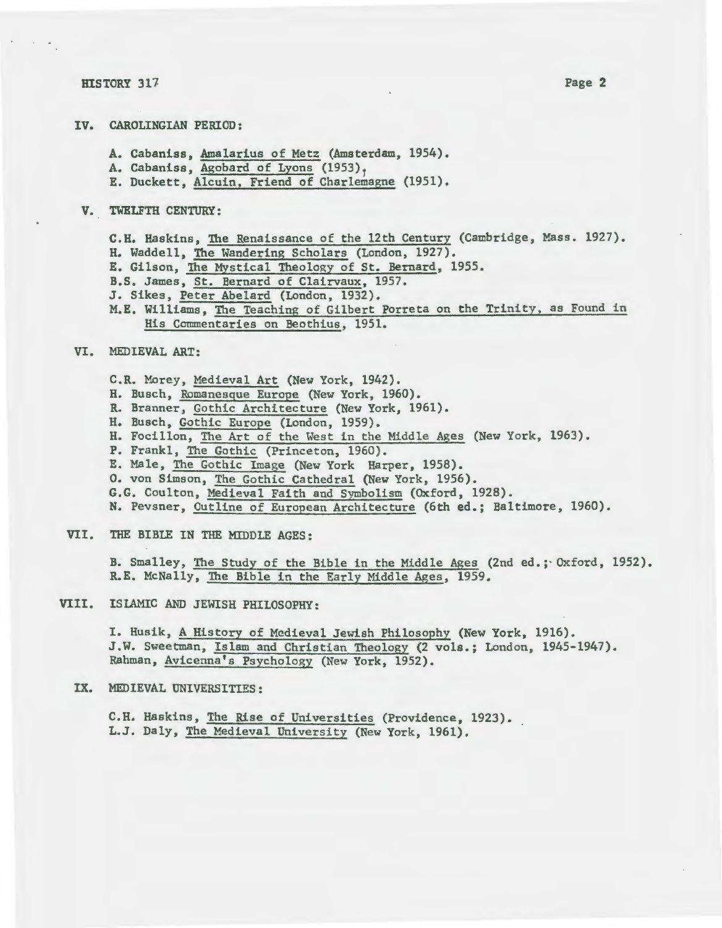#### **HISTORY 317**

 $\mathcal{O}(\mathcal{F})$ 

- IV. CAROLINGIAN PERIOD:
	- A. Cabaniss, <u>Amalarius of Metz</u> (Amsterdam, 1954).<br>A. Cabaniss, Agobard of Lyons (1953),
	-
	- E. Duckett, Alcuin, Friend of Charlemagne (1951).
- V. TWELFTH CENTURY:

C.H. Haskins, The Renaissance of the 12th Century (Cambridge, Mass. 1927). H. Waddell, The Wandering Scholars (London, 1927). E. Gilson, The Mystical Theology of St. Bernard, 1955. B.S. James, St. Bernard of Clairvaux, 1957. J. Sikes, Peter Abelard (London, 1932). M.E. Williams, The Teaching of Gilbert Porreta on the Trinity, as Found in His Commentaries on Beothius, 1951.

# VI. MEDIEVAL ART:

- C.R. Morey, Medieval Art (New York, 1942).
- H. Busch, Romanesque Europe (New York, 1960).
- R. Branner, Gothic Architecture (New York, 1961).
- H. Busch, Gothic Europe (London, 1959).
- H. Focillon, The Art of the West in the Middle Ages (New York, 1963).
- P. Frankl, The Gothic (Princeton, 1960).
- E. Male, The Gothic Image (New York Harper, 1958).
- 0. von Simson, The Gothic Cathedral (New York, 1956).
- G.G. Coulton, Medieval Faith and Symbolism (Oxford, 1928).
- N. Pevsner, Outline of European Architecture (6th ed.; Baltimore, 1960).
- VII. THE BIBLE IN THE MIDDLE AGES:

B. Smalley, The Study of the Bible in the Middle Ages (2nd ed.; Oxford, 1952). R.E. McNally, The Bible in the Early Middle Ages, 1959.

# VIII. ISLAMIC AND JEWISH PHILOSOPHY:

I. Husik, A History of Medieval Jewish Philosophy (New York, 1916). J.W. Sweetman, Islam and Christian Theology (2 vols.; London, 1945-1947). Rahman, Avicenna's Psychology (New York, 1952).

## IX. MEDIEVAL UNIVERSITIES:

C.H. Haskins, The Rise of Universities (Providence, 1923). L.J. Daly, The Medieval University (New York, 1961).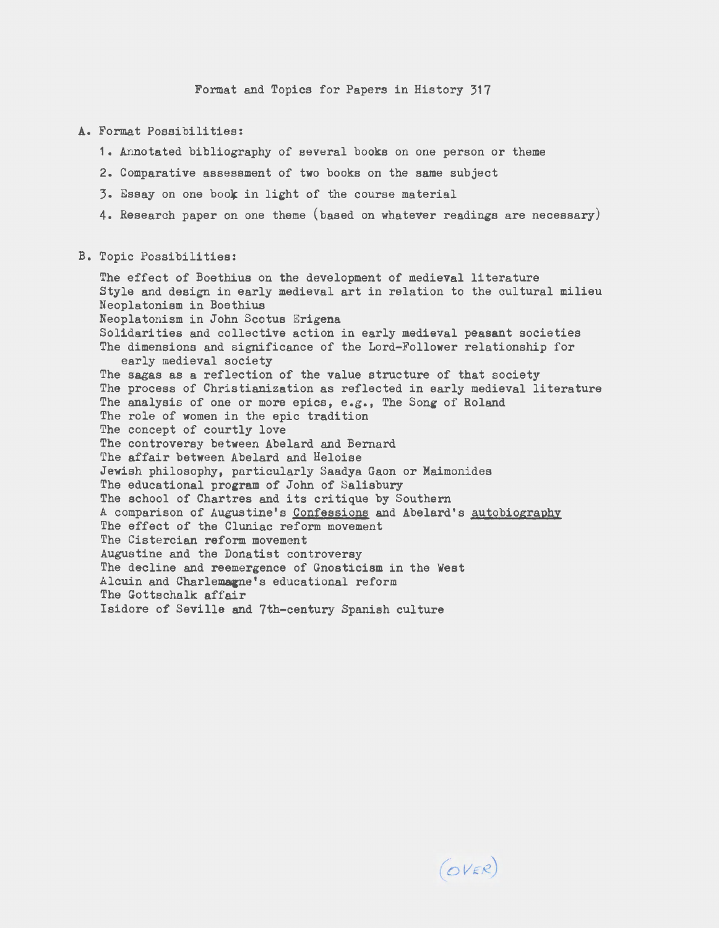Format and Topics for Papers in History 317

## A. Format Possibilities:

- 1. Annotated bibliography of several books on one person or theme
- 2. Comparative assessment of two books on the same subject
- 3. Essay on one book in light of the course material
- 4. Research paper on one theme (based on whatever readings are necessary)

## B. Topic Possibilities:

The effect of Boethius on the development of medieval literature Style and design in early medieval art in relation to the cultural milieu Neoplatonism in Boethius Neoplatonism in John Scotus Erigena Solidarities and collective action in early medieval peasant societies The dimensions and significance of the Lord-Follower relationship for early medieval society The sagas as a reflection of the value structure of that society The process of Christianization as reflected in early medieval literature The analysis of one or more epics, e.g., The Song of Roland The role of women in the epic tradition The concept of courtly love The controversy between Abelard and Bernard The affair between Abelard and Heloise Jewish philosophy, particularly Saadya Gaon or Maimonides The educational program of John of Salisbury The school of Chartres and its critique by Southern A comparison of Augustine's Confessions and Abelard's autobiography The effect of the Cluniac reform movement The Cistercian reform movement Augustine and the Donatist controversy The decline and reemergence of Gnosticism in the West Alcuin and Charlemagne's educational reform The Gottschalk affair Isidore of Seville and 7th-century Spanish culture

 $(OVER)$